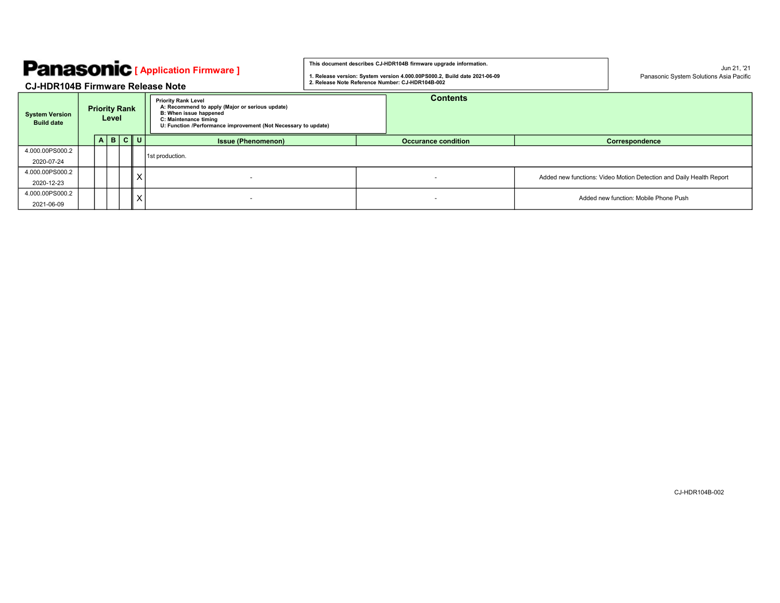| <b>Panasonic</b> [ Application Firmware ]  |  |                               |   |      |                                                                                                                                                                                                    | This document describes CJ-HDR104B firmware upgrade information.<br>1. Release version: System version 4.000.00PS000.2, Build date 2021-06-09 |  |                            |  | Jun 21. '21<br>Panasonic System Solutions Asia Pacific              |
|--------------------------------------------|--|-------------------------------|---|------|----------------------------------------------------------------------------------------------------------------------------------------------------------------------------------------------------|-----------------------------------------------------------------------------------------------------------------------------------------------|--|----------------------------|--|---------------------------------------------------------------------|
| <b>CJ-HDR104B Firmware Release Note</b>    |  |                               |   |      |                                                                                                                                                                                                    | 2. Release Note Reference Number: CJ-HDR104B-002                                                                                              |  |                            |  |                                                                     |
| <b>System Version</b><br><b>Build date</b> |  | <b>Priority Rank</b><br>Level |   |      | <b>Priority Rank Level</b><br>A: Recommend to apply (Major or serious update)<br>B: When issue happened<br>C: Maintenance timing<br>U: Function /Performance improvement (Not Necessary to update) | <b>Contents</b>                                                                                                                               |  |                            |  |                                                                     |
|                                            |  | $A \mid B$                    | c | l ul | <b>Issue (Phenomenon)</b>                                                                                                                                                                          |                                                                                                                                               |  | <b>Occurance condition</b> |  | Correspondence                                                      |
| 4.000.00PS000.2<br>2020-07-24              |  |                               |   |      | 1st production.                                                                                                                                                                                    |                                                                                                                                               |  |                            |  |                                                                     |
| 4.000.00PS000.2<br>2020-12-23              |  |                               |   | X    | $\mathbf{r}$                                                                                                                                                                                       |                                                                                                                                               |  | $\sim$                     |  | Added new functions: Video Motion Detection and Daily Health Report |
| 4.000.00PS000.2<br>2021-06-09              |  |                               |   | X    | $\sim$                                                                                                                                                                                             |                                                                                                                                               |  | $\sim$                     |  | Added new function: Mobile Phone Push                               |

CJ-HDR104B-002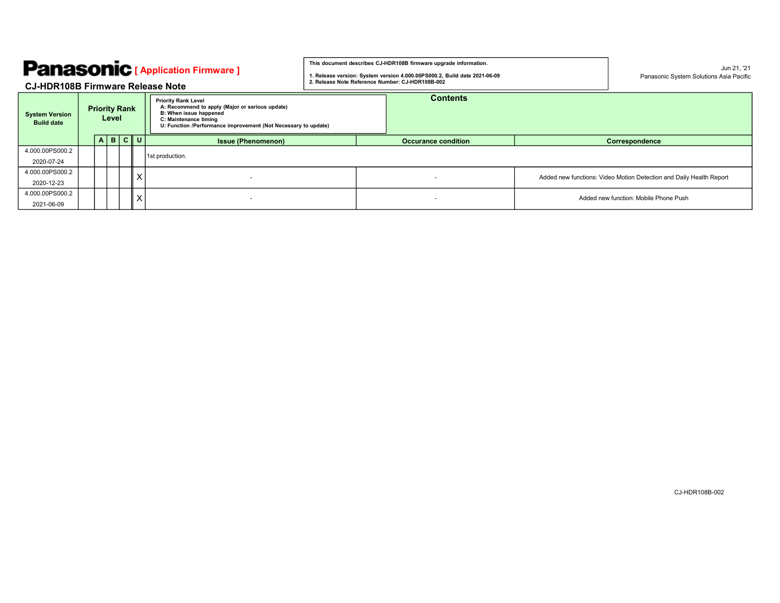## CJ-HDR108B Firmware Release Note

| <b>Panasonic</b> [ Application Firmware ]<br><b>CJ-HDR108B Firmware Release Note</b> |  |                               |   |          |                                                                                                                                                                                                    | This document describes CJ-HDR108B firmware upgrade information.<br>1. Release version: System version 4.000.00PS000.2, Build date 2021-06-09<br>2. Release Note Reference Number: CJ-HDR108B-002 |  |                            |  | Jun 21, '21<br>Panasonic System Solutions Asia Pacific              |
|--------------------------------------------------------------------------------------|--|-------------------------------|---|----------|----------------------------------------------------------------------------------------------------------------------------------------------------------------------------------------------------|---------------------------------------------------------------------------------------------------------------------------------------------------------------------------------------------------|--|----------------------------|--|---------------------------------------------------------------------|
| <b>System Version</b><br><b>Build date</b>                                           |  | <b>Priority Rank</b><br>Level |   |          | <b>Priority Rank Level</b><br>A: Recommend to apply (Major or serious update)<br>B: When issue happened<br>C: Maintenance timing<br>U: Function /Performance improvement (Not Necessary to update) | <b>Contents</b>                                                                                                                                                                                   |  |                            |  |                                                                     |
| 4.000.00PS000.2                                                                      |  | $\mathbf{B}$<br>$\mathsf{A}$  | c | U        | <b>Issue (Phenomenon)</b>                                                                                                                                                                          |                                                                                                                                                                                                   |  | <b>Occurance condition</b> |  | Correspondence                                                      |
| 2020-07-24                                                                           |  |                               |   |          | 1st production.                                                                                                                                                                                    |                                                                                                                                                                                                   |  |                            |  |                                                                     |
| 4.000.00PS000.2<br>2020-12-23                                                        |  |                               |   | X        |                                                                                                                                                                                                    |                                                                                                                                                                                                   |  |                            |  | Added new functions: Video Motion Detection and Daily Health Report |
| 4.000.00PS000.2<br>2021-06-09                                                        |  |                               |   | $\times$ |                                                                                                                                                                                                    |                                                                                                                                                                                                   |  |                            |  | Added new function: Mobile Phone Push                               |

CJ-HDR108B-002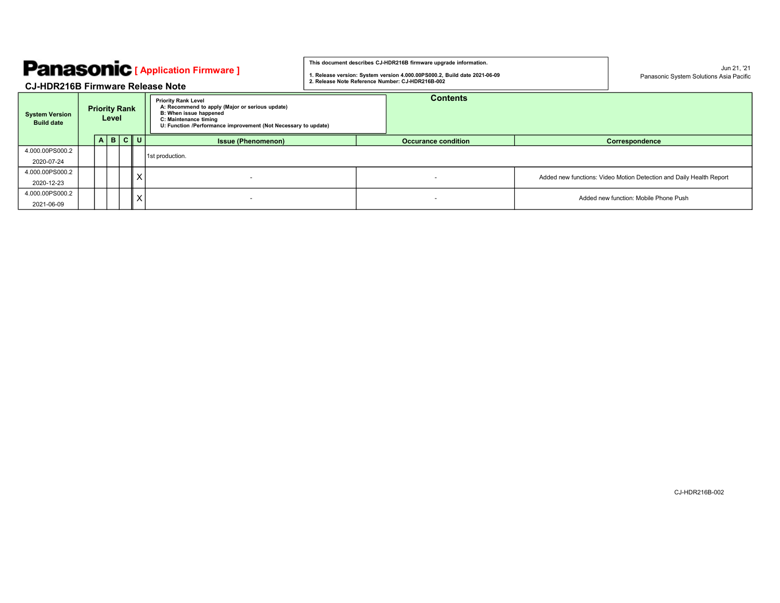| <b>Panasonic</b> [ Application Firmware ]<br><b>CJ-HDR216B Firmware Release Note</b> |                                                                                                                                                                                                                                            |            |      |         |                           | This document describes CJ-HDR216B firmware upgrade information.<br>1. Release version: System version 4.000.00PS000.2, Build date 2021-06-09<br>2. Release Note Reference Number: CJ-HDR216B-002 |  |                            |  | Jun 21, '21<br>Panasonic System Solutions Asia Pacific              |
|--------------------------------------------------------------------------------------|--------------------------------------------------------------------------------------------------------------------------------------------------------------------------------------------------------------------------------------------|------------|------|---------|---------------------------|---------------------------------------------------------------------------------------------------------------------------------------------------------------------------------------------------|--|----------------------------|--|---------------------------------------------------------------------|
| <b>System Version</b><br><b>Build date</b>                                           | <b>Priority Rank Level</b><br>A: Recommend to apply (Major or serious update)<br><b>Priority Rank</b><br><b>B: When issue happened</b><br>Level<br>C: Maintenance timing<br>U: Function /Performance improvement (Not Necessary to update) |            |      |         |                           |                                                                                                                                                                                                   |  | <b>Contents</b>            |  |                                                                     |
|                                                                                      |                                                                                                                                                                                                                                            | $A \mid B$ | c  v |         | <b>Issue (Phenomenon)</b> |                                                                                                                                                                                                   |  | <b>Occurance condition</b> |  | Correspondence                                                      |
| 4.000.00PS000.2<br>2020-07-24                                                        |                                                                                                                                                                                                                                            |            |      |         | 1st production.           |                                                                                                                                                                                                   |  |                            |  |                                                                     |
| 4.000.00PS000.2<br>2020-12-23                                                        |                                                                                                                                                                                                                                            |            |      | $\sf X$ |                           |                                                                                                                                                                                                   |  | $\sim$                     |  | Added new functions: Video Motion Detection and Daily Health Report |
| 4.000.00PS000.2<br>2021-06-09                                                        |                                                                                                                                                                                                                                            |            |      | $\sf X$ |                           |                                                                                                                                                                                                   |  |                            |  | Added new function: Mobile Phone Push                               |

CJ-HDR216B-002